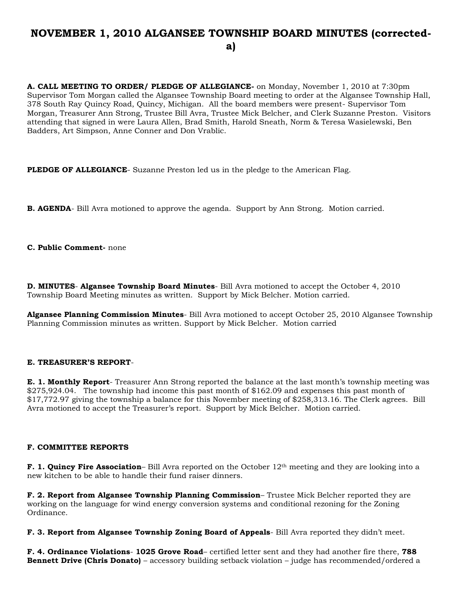# **NOVEMBER 1, 2010 ALGANSEE TOWNSHIP BOARD MINUTES (correcteda)**

**A. CALL MEETING TO ORDER/ PLEDGE OF ALLEGIANCE-** on Monday, November 1, 2010 at 7:30pm Supervisor Tom Morgan called the Algansee Township Board meeting to order at the Algansee Township Hall, 378 South Ray Quincy Road, Quincy, Michigan. All the board members were present- Supervisor Tom Morgan, Treasurer Ann Strong, Trustee Bill Avra, Trustee Mick Belcher, and Clerk Suzanne Preston. Visitors attending that signed in were Laura Allen, Brad Smith, Harold Sneath, Norm & Teresa Wasielewski, Ben Badders, Art Simpson, Anne Conner and Don Vrablic.

**PLEDGE OF ALLEGIANCE**- Suzanne Preston led us in the pledge to the American Flag.

**B. AGENDA**- Bill Avra motioned to approve the agenda. Support by Ann Strong. Motion carried.

**C. Public Comment-** none

**D. MINUTES**- **Algansee Township Board Minutes**- Bill Avra motioned to accept the October 4, 2010 Township Board Meeting minutes as written. Support by Mick Belcher. Motion carried.

**Algansee Planning Commission Minutes**- Bill Avra motioned to accept October 25, 2010 Algansee Township Planning Commission minutes as written. Support by Mick Belcher. Motion carried

## **E. TREASURER'S REPORT**-

**E. 1. Monthly Report**- Treasurer Ann Strong reported the balance at the last month's township meeting was \$275,924.04. The township had income this past month of \$162.09 and expenses this past month of \$17,772.97 giving the township a balance for this November meeting of \$258,313.16. The Clerk agrees. Bill Avra motioned to accept the Treasurer's report. Support by Mick Belcher. Motion carried.

## **F. COMMITTEE REPORTS**

**F. 1. Quincy Fire Association**– Bill Avra reported on the October 12<sup>th</sup> meeting and they are looking into a new kitchen to be able to handle their fund raiser dinners.

**F. 2. Report from Algansee Township Planning Commission**– Trustee Mick Belcher reported they are working on the language for wind energy conversion systems and conditional rezoning for the Zoning Ordinance.

**F. 3. Report from Algansee Township Zoning Board of Appeals**- Bill Avra reported they didn't meet.

**F. 4. Ordinance Violations**- **1025 Grove Road**– certified letter sent and they had another fire there, **788 Bennett Drive (Chris Donato)** – accessory building setback violation – judge has recommended/ordered a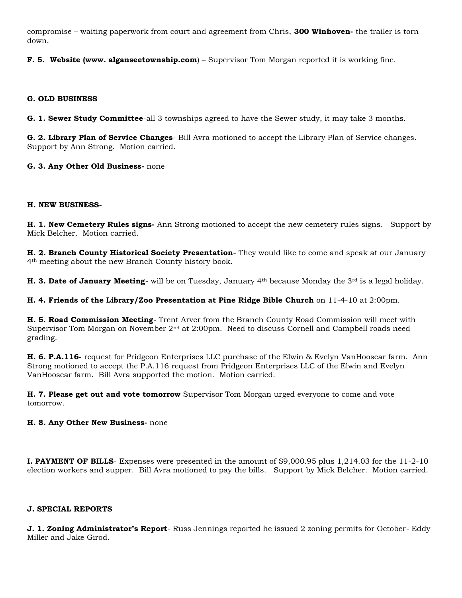compromise – waiting paperwork from court and agreement from Chris, **300 Winhoven-** the trailer is torn down.

**F. 5. Website (www. alganseetownship.com**) – Supervisor Tom Morgan reported it is working fine.

## **G. OLD BUSINESS**

**G. 1. Sewer Study Committee**-all 3 townships agreed to have the Sewer study, it may take 3 months.

**G. 2. Library Plan of Service Changes**- Bill Avra motioned to accept the Library Plan of Service changes. Support by Ann Strong. Motion carried.

## **G. 3. Any Other Old Business-** none

## **H. NEW BUSINESS**-

**H. 1. New Cemetery Rules signs-** Ann Strong motioned to accept the new cemetery rules signs. Support by Mick Belcher. Motion carried.

**H. 2. Branch County Historical Society Presentation**- They would like to come and speak at our January 4th meeting about the new Branch County history book.

**H. 3. Date of January Meeting**- will be on Tuesday, January 4<sup>th</sup> because Monday the 3<sup>rd</sup> is a legal holiday.

**H. 4. Friends of the Library/Zoo Presentation at Pine Ridge Bible Church** on 11-4-10 at 2:00pm.

**H. 5. Road Commission Meeting**- Trent Arver from the Branch County Road Commission will meet with Supervisor Tom Morgan on November  $2<sup>nd</sup>$  at  $2:00<sub>pm</sub>$ . Need to discuss Cornell and Campbell roads need grading.

**H. 6. P.A.116-** request for Pridgeon Enterprises LLC purchase of the Elwin & Evelyn VanHoosear farm. Ann Strong motioned to accept the P.A.116 request from Pridgeon Enterprises LLC of the Elwin and Evelyn VanHoosear farm. Bill Avra supported the motion. Motion carried.

**H. 7. Please get out and vote tomorrow** Supervisor Tom Morgan urged everyone to come and vote tomorrow.

## **H. 8. Any Other New Business-** none

**I. PAYMENT OF BILLS**- Expenses were presented in the amount of \$9,000.95 plus 1,214.03 for the 11-2-10 election workers and supper. Bill Avra motioned to pay the bills. Support by Mick Belcher. Motion carried.

## **J. SPECIAL REPORTS**

**J. 1. Zoning Administrator's Report**- Russ Jennings reported he issued 2 zoning permits for October- Eddy Miller and Jake Girod.